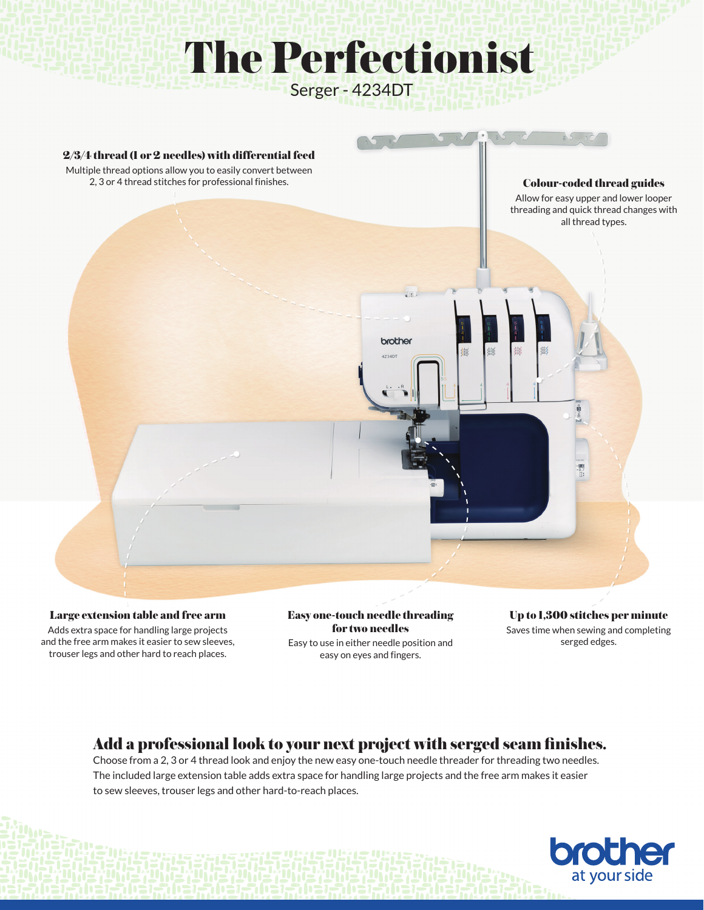## The Perfectionist Serger - 4234DT



Large extension table and free arm Adds extra space for handling large projects and the free arm makes it easier to sew sleeves, trouser legs and other hard to reach places.

Easy one-touch needle threading for two needles Easy to use in either needle position and easy on eyes and fingers.

Up to 1,300 stitches per minute Saves time when sewing and completing serged edges.

## Add a professional look to your next project with serged seam finishes.

Choose from a 2, 3 or 4 thread look and enjoy the new easy one-touch needle threader for threading two needles. The included large extension table adds extra space for handling large projects and the free arm makes it easier to sew sleeves, trouser legs and other hard-to-reach places.